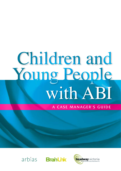# Children and Young People with ABI

## A CASE MANAGER'S GUIDE





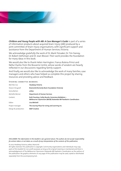

*Children and Young People with ABI: A Case Manager's Guide* is part of a series of information products about acquired brain injury (ABI) produced by a joint committee of brain injury organisations, with significant support and assistance from the Department of Human Services, Victoria.

We acknowledge gratefully the work of Dr. Mark Ylvisaker, Dr. Tim Feeney, Dr. Robert DePompei and Dr. Jean Blosser. Their work provides the foundation for many ideas in this book.

We would also like to thank Helen Harrington, Franca Butera-Prinzi and Nella Charles from the Bouverie Centre, whose words of wisdom are heavily reflected in our discussions regarding family support.

And finally, we would also like to acknowledge the work of many families, case managers and others who have helped us complete this project by sharing resources and providing advice and feedback.

#### STEERING COMMITTEE MEMBERS:

| Merrilee Cox         | Headway Victoria                                                                                                       |
|----------------------|------------------------------------------------------------------------------------------------------------------------|
| Sharon Strugnell     | BrainLink (Formerly Brain Foundation Victoria)                                                                         |
| Sonia Berton         | arbias                                                                                                                 |
| Michelle Werner      | Department of Human Services                                                                                           |
| Content.             | Ruth Tesselaar, Cathy Bucolo, Genevieve McMahon -<br>Melbourne Citymission (MCM) Statewide ABI Paediatric Coordinators |
| Editor:              | Lisa Mitchell                                                                                                          |
| Project manager:     | The Journey Place for Living and Learning Inc                                                                          |
| Design & production: | <b>MAP Creative</b>                                                                                                    |

*DISCLAIMER: The information in this booklet is of a general nature. The authors do not accept responsibility for actions taken, or not taken, as a result of any interpretation of the contents of this publication.*

© 2007 Headway Victoria, *arbias,* Brain*Link.* 

All rights reserved. This publication is copyright. Community organisations and individuals may copy parts of this booklet for non-profit purposes as long as the original meaning is maintained and there is acknowledgement of The Melbourne Citymission Statewide ABI Paediatric Coordinators as the authors of the publication. No graphics elements on any page of this publication may be used, copied or distributed separately from the accompanying text.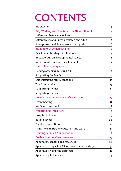## **CONTENTS**

| Introduction                                      | 4  |
|---------------------------------------------------|----|
| Why Working with Children with ABI is Different   | 5  |
| Differences between ABI & ID                      | 5  |
| Differences working with children and adults      | 5  |
| A long-term, flexible approach to support         | 6  |
| <b>Building Your Understanding</b>                | 7  |
| Developmental stages in childhood                 | 7  |
| Impact of ABI on developmental stages             | 8  |
| Impact of ABI on social development               | 9  |
| Your Role - Making it Work                        | 10 |
| Helping others understand ABI                     | 10 |
| Supporting the family                             | 11 |
| Understanding family reactions                    | 13 |
| Tips from families                                | 15 |
| Supporting siblings                               | 15 |
| Supporting friends                                | 16 |
| TEAM - Together Everyone Achieves More            | 17 |
| Team meetings                                     | 17 |
| Involving the school                              | 18 |
| <b>Preparing for Transitions</b>                  | 19 |
| Hospital to home                                  | 19 |
| Back to school                                    | 20 |
| Year-level transitions                            | 21 |
| Transitions to further education and work         | 23 |
| Funding, Support & Information                    | 24 |
| <b>Golden Rules for Case Managers</b>             | 27 |
| Appendix 1: Reading and resources                 | 28 |
| Appendix 2: Impact of ABI on developmental stages | 31 |
| Appendix 3: ABI in the classroom                  | 32 |
| Appendix 4: References                            | 34 |
|                                                   |    |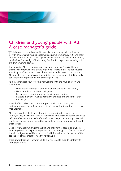<span id="page-3-0"></span>

## Children and young people with ABI: A case manager's guide

This booklet is a hands-on guide to assist case managers in their work with children and young people with acquired brain injury (ABI) and their families. It is written for those of you who are new to the field of brain injury, or who have knowledge of brain injury, but limited experience working with children or young people.

The impact of ABI is wide-ranging. It can affect a person's social life and their development. The multitude of physical effects might include muscle spasticity, paralysis or weakness, blurred vision or decreased coordination. ABI also affects a person's cognitive abilities, such as memory, thinking skills, concentration, organisation and planning abilities.

As a case manager, your role involves working with the young person and their family to:

- **>** Understand the impact of the ABI on the child and their family
- **>** Help identify and achieve their goals
- **>** Research and coordinate service and support options
- **>** Educate everyone involved about the changes and challenges that ABI brings

To work effectively in this role, it is important that you have a good understanding of the unique nature of children with ABI and the role of case management.

ABI is often called "the hidden disability" because its effects may not be visible, or they may be mistaken for something else, or seen by some people as deliberate behaviours. A well-informed case manager can identify potential challenges before they arise, and help people to recognise and work through these issues.

Good forward planning with the child and their family goes a long way to reducing stress and to providing successful outcomes, particularly in times of transition. If you would like more technical information on the nature of ABI, see the list of resources provided in **[Appendix 1](#page-27-0)**.

Throughout this book the term "child" may be used to include adolescents with brain injury.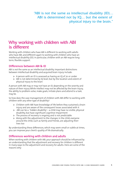<span id="page-4-0"></span>"ABI is not the same as intellectual disability (ID)… ABI is determined not by IQ… but the extent of physical injury to the brain."

## Why working with children with ABI is different

Working with children who have ABI is different to working with adults who have ABI, and different again to working with children who have an intellectual disability (ID). In particular, children with an ABI require longterm, flexible support.

#### **Differences between ABI & ID**

ABI is *not* the same as an intellectual disability. Important distinctions between intellectual disability and acquired brain injury include:

- **>** A person with an ID is assessed as having an IQ of 70 or under
- **>** ABI is not determined by IQ level, but by the location and extent of physical injury to the brain

A person with ABI may or may not have an ID, depending on the severity and nature of their injury. While intellect may not be affected by the brain injury, the ability to problem-solve, make goals, initiate plans and attend to a task, may be.

So how does the case management of children with ABI differ to working with children with any other type of disability?

- **>** Children with ABI have knowledge of life before they sustained a brain injury and are aware of the consequent losses associated with it
- **>** ABI can be a `hidden disability' a child may have no visible, physical disability, but have significant cognitive impairment
- **>** The process of recovery is ongoing and is not predictable
- **>** Along with the adjustment to the changes in the child, everyone around the child, such as family and friends, are adjusting their lives too

By understanding these differences, which may seem small or subtle at times, you can improve your client's quality of life dramatically.

#### **Differences working with children and adults**

When working with children with ABI, your approach should be influenced by an understanding that the adjustment and recovery for children is different in many ways to the adjustment and recovery for adults. Here are some of the reasons why: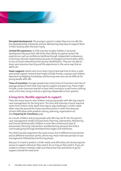<span id="page-5-0"></span>

**Disrupted development:** The younger a person is when they incur an ABI, the less developmental milestones and pre-ABI learning they have to support them in their recovery after the brain injury.

**Limited life experience:** A child may face tougher battles in personal development because their ABI limits their ability to explore certain life experiences, such as confidence-building through independent endeavours, or forming intimate relationships because of changed communication skills, or loss of social-networking time during rehabilitation. They are not able to draw upon previous learning and life experiences in the same way that an adult can.

**Fewer supports:** Adults who incur brain injury have had time to form a solid and varied support network that might include friends, a spouse and children. Maintaining fledgling friendships and forming new ones can be difficult for young people after ABI.

**Times of transition:** Younger people have many times of transition and rites of passage ahead of them that may require support and planning. These might include: a new classroom teacher or year level, moving to a new home, starting work, a first love, losing a friend, or gaining independence from parents.

#### **A long-term, flexible approach to support**

There are many reasons why children and young people with ABI may require case management for the long term. The time and intensity of work required varies from child to child. Apart from day-to-day challenges, a child's needs often intensify around the many transition points in their lives because of their difficulties with problem-solving, planning, organisation etc. (See **[Preparing for Transitions,](#page-18-0)** p19).

As a result, children and young people with ABI may not fit into the generic, case-management model of Assessment, Planning, Intervention, Monitoring and Closure. Working with children is more like a continuous loop of Assessment, Planning, Intervention and Monitoring, because the child is continually going through developmental stages and milestones.

The child may also experience the same issues, but in different environments and at different transition points, which may mean intensive periods of case management, followed by monitoring phases.

Because it is hard to predict a child's needs and difficulties, the family requires access to support whenever they need it, for as long as they need it. If you are unable to remain involved, make sure they know how and where to go for support, should the need arise.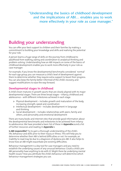<span id="page-6-0"></span>"Understanding the basics of childhood development and the implications of ABI… enables you to work more effectively in your role as case manager."

## Building your understanding

You can offer your best support to children and their families by making a commitment to building your knowledge and skills and realising the potential for your role.

A person learns a huge range of skills on the journey from childhood to adulthood from walking, eating and coordination to analytical thinking and problem-solving. Understanding how an ABI impacts on some of the basics of childhood development enables you to work more effectively in your role as case manager.

For example, if you know the developmental benchmarks considered `normal' for each age group, you can measure a child's level of development against them to determine whether they require extra support to boost their progress. You can also keep the family better informed of the child's recovery, and suggest modifications to ease the way forward.

#### **Developmental stages in childhood**

A child's brain matures in growth spurts that are closely aligned with its major developmental stages. There are three broad stages – infancy, childhood and adolescence – with different milestones achieved in each stage:

- **>** Physical development includes growth and maturation of the body, increasing strength, speed and coordination
- **>** Intellectual development includes development in language and thinking
- **>** Social development includes relationships with peers, family and others, and personality and emotional development

There are many books and internet sites that provide good information about the developmental benchmarks and milestones to be achieved from infancy to adolescence. We have provided a basic list of these in **[Appendix 2](#page-30-0)** and a list of further resources and reading in **[Appendix 1](#page-27-0)**.

**Is ABI responsible?** Try to gain a thorough understanding of the child's life, behaviour and skills prior to their injury or illness. This will help you to determine whether their ABI is behind difficulties or not. For example, an inability to read may be due to a diagnosis of dyslexia pre-ABI. It also helps to know how an ABI might exacerbate pre-existing difficulties.

Behaviour management is a key tool for case managers and you need to establish the underlying causes of any unusual behaviour. Could a child's pre-ABI personality have anything to do with it? Might there be underlying mental health issues? How you attribute the child's behaviour will determine which behaviour-management strategies you use.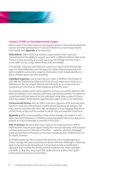<span id="page-7-0"></span>

#### **Impact of ABI on developmental stages**

When a part of the brain becomes damaged, a person's natural developmental process and their achievement of various milestones at each stage may be interrupted. (See **[Appendix 2](#page-30-0)** for examples).

**Skills deficits:** Often skills that children acquire before their injury are maintained, but the ability to acquire new skills is affected. Deficits that result from an injury occurring at an early age may not emerge until the child is much older and at a stage where those skills are needed.

For example, a five year-old child who sustains an injury to the frontal lobe may not show difficulties until the age of 10, when they are expected to be able to problem-solve and to organise themselves more independently. In a sense, children grow into their disability.

**Individual responses:** Just as each person's brain is different, the impact of each ABI will therefore be different. The functional impairment that occurs following an ABI can impact directly and indirectly on so many areas of a young person's life, that no child's response will be the same.

For example, children with similar patterns of injury can exhibit different skill levels according to their previous skill levels, age and personality. The extent of impairment will also depend on the individual, what others expect of them, what they expect of themselves and how they adapt to their new skill levels.

**Environmental factors:** ABI can affect a person's cognitive skills and executive functions and cause behavioural, emotional and psychosocial changes. The way a person presents after their ABI can depend on how fatigued they are at certain times of day, and the context in which they are expected to perform.

**[Appendix 3](#page-31-0)** offers some examples of how these changes can impact on the daily classroom behaviour of children and young people. We encourage you to acquire as much knowledge as possible in this area.

**Rate of recovery:** Recovery after brain injury is an ongoing process. While improvement may be quite rapid initially, this rate can decrease, with progress continuing for years in all areas of function – cognitive, physical, language, social and emotional. Recovery can be more complicated for children than it is for adults, however.

As children grow up, their environment becomes more involved (going to school, mixing with peers) and they are faced with new challenges in learning, daily living and social interaction. It is important to take a coordinated approach that involves the family and that builds on the child's strengths and skills, so that they may reach their potential and achieve their goals, particularly during times of transition.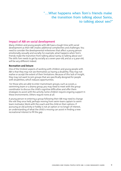"…What happens when Tom's friends make the transition from talking about Santa, to talking about sex?"

#### <span id="page-8-0"></span>**Impact of ABI on social development**

Many children and young people with ABI have a tough time with social development as their ABI creates additional complexities and challenges. You need to consider the developmental milestones that affect a young person emotionally, sexually and socially. For example, what happens when Tom's friends make the transition from talking about Santa, to talking about sex? The skills Tom needs to get by socially as a seven year-old, and as a 15 year-old, will be very different indeed.

#### **Recreation and leisure**

One of the trickiest aspects of working with children and young people with ABI is that they may not see themselves as having a disability. They may not realise or accept the extent of their limitations. Because of this lack of insight, they may not want to join groups that are specifically designed for people with disabilities, which reduces opportunities.

 For those who are able to enter mainstream groups, such as scouts, a swimming team or a drama group, you may need to meet with the group coordinator to discuss the child's cognitive difficulties and offer them strategies to assist with the activity. Some children require ongoing support in these environments. Others require none at all.

A young person re-entering a group following their ABI may need to change the role they once held, perhaps moving from swim-team captain to swimteam motivator. Work with the coach and the child on their options. If pursuing an old activity or hobby is not an option or no longer of interest, an understanding of what the child is missing can assist in finding a new recreational interest to fill the gap.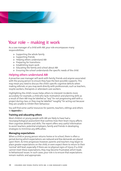<span id="page-9-0"></span>

## Your role – making it work

As a case manager of a child with ABI, your role encompasses many responsibilities:

- **>** Supporting the whole family
- **>** Supporting friends
- **>** Helping others understand ABI
- **>** Preparing for transitions
- **>** Establishing team work
- **>** Educating the family and school about ABI
- **>** Ensuring the school understands the specific needs of the child

#### **Helping others understand ABI**

A proactive case manager will work with family, friends and anyone associated with the young person to ensure they have the best possible supports. This may mean you need to discuss the child's specific cognitive deficits when making referrals, or you may work directly with professionals, such as teachers, respite workers, therapists or attendant-care workers.

Highlighting the child's issues helps others to interpret incidents more accurately. For example, a child who lacks motivation and planning skills as a result of their ABI may be labelled as "lazy" for not progressing well with a project during class, or they may be labelled "naughty" for acting out because they are unable to inhibit their behaviour.

You will find some useful resources for parents, teachers, siblings and others in **[Appendix 1](#page-27-0)**.

#### **Training and educating others**

Most children or young people with ABI are likely to have had a neuropsychological assessment that outlines how their brain injury affects their cognitive abilities and skills. The report offers very useful information to assist teachers, potential employers, family and friends in developing strategies to minimise any difficulties.

#### **Managing expectations**

When a child or young person returns home or to school, there is often a period during which expectations are reduced and few demands are placed upon them. As time progresses however, parents and teachers may begin to place greater expectations on the child, or even expect them to return to their `normal' skill level, especially if there are no physical signs of injury. If a child cannot meet these expectations, they may become frustrated, which leads to behavioural issues. In such cases, your role is to ensure that expectations remain realistic and appropriate.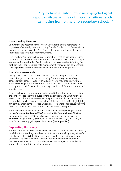<span id="page-10-0"></span>"Try to have a fairly current neuropsychological report available at times of major transitions, such as moving from primary to secondary school…"

#### **Understanding the cause**

Be aware of the potential for the misunderstanding or misinterpretation of cognitive difficulties by others, including friends, family and professionals. For instance, a teacher may label Peter "inattentive and troublesome" because he interrupts class continually for instructions.

However, Peter's neuropsychological report shows that he has poor receptivelanguage skills and short-term memory – he is likely to have trouble taking in and remembering chunks of verbal information. By correctly attributing the problem to the cause, appropriate management strategies can be identified. (See **[Appendix 3](#page-31-0)** for more possible behaviours and underlying causes).

#### **Up-to-date assessments**

Ideally, try to have a fairly current neuropsychological report available at times of major transitions, such as moving from primary to secondary school, or from school to work. A child's ability level may change over time. Neuropsychologists often recommend a time for reassessment at the end of the original report. Be aware that you may need to book for reassessment well ahead of time.

Neuropsychologists often require background information about the child, as they only ever see them in a quiet, controlled environment. Don't wait to be asked to contribute to an assessment. Be proactive and obtain consent from the family to provide information on the child's current situation, highlighting any particular concerns or issues. Once an assessment is obtained, spend time with the family to help them understand these complex reports.

For information on where to obtain a paediatric neuropsychological report, call **Melbourne Citymission (MCM) Statewide ABI Paediatric Coordinators** (telephone: (03) 9385 6333). Or call *arbias* (telephone: (03) 9417 7071) or **Brain***Link* (telephone: (03) 9845 2950 or free-call 1800 677 579) for a copy of *Your Guide to Neuropsychological Assessment* (see **[Appendix 1](#page-27-0)**).

#### **Supporting the family**

For most families, an ABI is followed by an intensive period of decision-making, rehabilitation, attending countless appointments and making many stressful adjustments. There is little time for parents to reflect on their own mental, emotional and physical health. Relationships between family members can become strained. At this critical time, a case manager can provide vital support to the family in the following ways.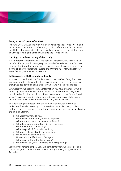<span id="page-11-0"></span>

#### **Being a central point of contact**

The family you are working with will often be new to the service system and be unsure of how to start or where to go to find information. You can assist greatly by listening carefully to their needs, acting as a central point of contact and then providing guidance and links to the service system.

#### **Gaining an understanding of the family**

It is important to identify who is included in the family unit. "Family" may include siblings, grandparents, stepfamily and other relatives. You also need to understand how the family works as a unit – parent to parent, parent to sibling and between siblings – *before and after* the ABI. This will alert you to areas that may require extra attention.

#### **Setting goals with the child and family**

Your role is to work with the family to assist them in identifying their needs and goals and to help plan the steps needed to get there. It is not your role though, to decide which goals are achievable, and which goals are not.

When identifying goals, try to use information you have either observed, or picked up in previous conversations. For example, a statement like, "Sally mentioned earlier that she does not have as many friends as she used to at school", may lead more directly to goal-setting around social skills, than a broader question like, "What goals would Sally like to achieve?".

Be sure to set goals directly with the child, too. It encourages them to undertake the tasks necessary to achieve them, instead of being told what is best for them. Here are some sample questions to help you explore goals with the child and family:

- **>** What is important to you?
- **>** What three skills would you like to improve?
- **>** What are your usual reactions to problems?
- **>** What troublesome situations do you experience?
- **>** What is your best time of day?
- **>** What do you look forward to each day?
- **>** What part of each day do you least enjoy?
- **>** How do others try to help you?
- **>** How would you like them to help you?
- **>** What do people do that bothers you?
- **>** What things do you wish people would stop doing?

Source: Dr Robert DePompei, "Educating Students with ABI: Strategies and Transitions", 6th World Congress on Brain Injury, 6-8 May 2005, Melbourne, Australia.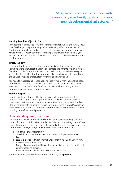"A sense of loss is experienced with every change in family goals and every new developmental milestone…"

#### <span id="page-12-0"></span>**Helping families adjust to ABI**

Families find it difficult to return to `normal' life after ABI. Let the family know that the changes they are seeing and experiencing at home are expected. Sharing your knowledge and experience with reassuring statements such as, "You know, that is really common, so many parents I work with say that", or "I work with another child who does a similar thing", provides some comfort and relief to parents.

#### **Timely support**

If the family refuses a service, they may be ready for it at some later stage – don't be afraid to suggest it again. For example, the parents of a child home from hospital for four months may appear exhausted. Out-of-home respite seems like the solution, but the family feels like they have only just got their child back home and are reluctant for them to go away again.

You need to reassess and realign your role continually with the shifting needs of the child and family as their circumstances change. You also need to be aware of the stage individual family members are at, which may require different services, supports and information.

#### **Flexible respite**

Respite should be whatever the family needs, whenever they need it, to maintain their strength and supportive bond. Work with parents to be as creative as possible around respite opportunities. For example, one family's idea of respite might be a family holiday, while another's is a week's worth of cooked meals. A valuable resource for parents is Brain*Link's A Parents Guide to Growing Up with ABI* (see **[Appendix 1](#page-27-0)**).

#### **Understanding family reactions**

The emotions that surround ABI are complex and leave most people feeling confused at some point. No two families are alike in the way they respond to a traumatic event, and each member will respond differently too. Reactions may continue over many, many years. Some key points to remember are:

- **>** ABI affects the whole family
- **>** The child and their family are coping with multiple and complex issues
- **>** Loss is experienced with every change in family goals and every new developmental milestone
- **>** Every child and family will have diverse needs and therefore different experiences and outcomes
- **>** Family members are a valuable support to nurture

For more reading and resources around this issue, see **[Appendix 1](#page-27-0)**.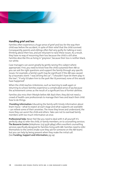<span id="page-13-0"></span>

#### **Handling grief and loss**

Families often experience a huge sense of grief and loss for the way their child was before the accident, in spite of their relief that the child survived. Consequently, parents and siblings often feel very guilty for talking or even thinking about their loss, and are reluctant to raise these issues. As a result, they have no way of mourning their loss because the child is still alive. Families describe this as living in "greyness", because their loss is neither black, nor white.

Case managers can assist greatly by gently raising this subject where appropriate. First, you need to know how the child sustained their ABI so you can ask the right questions and support the family through any specific issues. For example, a family's guilt may be significant if the ABI was caused by a traumatic event: "I was driving the car"; "I shouldn't have let them play in the tree"; "If only I'd taken him to the park like I'd promised, none of this would have happened".

When the child reaches milestones, such as learning to walk again or returning to school, families experience a complicated sense of joy because the achievement comes as the result of a significant loss of former abilities.

Families also miss their lifestyle before ABI. Back then, they did not need a crowd of health-care professionals to manage their lives and teach their child how to do things.

 **Providing information:** Educating the family with timely information about brain injury – what to expect at each stage and what supports are available – can relieve some of their anxieties. The more they know and understand, the more they can assist the child and others. Take care not to overload family members with too much information at once.

**Professional help:** Never feel like you need to deal with it all yourself. It's perfectly okay to refer the child, or family members, on to counselling services. **The Bouverie Centre** (telephone: (03) 9376 9844) offers excellent counselling services specifically designed for families living with ABI. Families need to refer themselves to the centre (make sure they ask for someone on the ABI team) but you can help by being present when they make the initial call. (See **[Funding, Support and Information,](#page-23-0)** pg 24).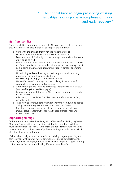## <span id="page-14-0"></span>"…The critical time to begin preserving existing friendships is during the acute phase of injury and early recovery."

#### **Tips from families**

Parents of children and young people with ABI have shared with us the ways they would most like case managers to support the family unit.

- **>** Work with the child and family at the stage they are at
- **>** Really understand the needs of each child or adolescent
- **>** Regular contact initiated by the case manager, even when things are quiet or going well
- **>** Phone calls and visits spent listening really listening to a family's needs and wants are considered as vital a part of case management as exploring and presenting resources, support options or offering advice
- **>** Help finding and coordinating access to support services for any member of the family who needs them
- **>** Help seeking and applying for relevant funding
- **>** Help with forward planning, such as applying for services with waiting lists or planning for transitions
- **>** Gently raising taboo topics to encourage the family to discuss issues (see **[Handling Grief and Loss,](#page-13-0)** pg 14)
- **>** Being up to date with the latest ABI literature, funding, communitybased services
- **>** Advocating on their behalf in all situations, such as when dealing with the system
- **>** The ability to communicate well with everyone from funding bodies and government representatives to teachers and friends
- **>** Building a team of support people for the long term that may include teachers, family, friends, health-care professionals, and working with them

#### **Supporting siblings**

Brothers and sisters in families living with ABI can end up feeling neglected. Mum and Dad are often busy helping their brother or sister, which leaves much less time for their needs. Or they see the added strain ABI brings, and don't want to add to their parents' problems. Siblings may also have to look after their brother or sister more.

It's important that you remember to include siblings in your planning and conversations with parents, where appropriate. External supports may be beneficial, too. For example, it might be worth enlisting extra support through their school, such as a counsellor they like, or a trusted teacher.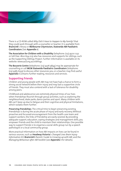<span id="page-15-0"></span>

There is a CD-ROM called *Why Did it Have to Happen to My Family?* that they could work through with a counsellor or teacher. It is available from **Brain***Link*'s library or **Melbourne Citymission, Statewide ABI Paediatric Coordinators** (See **[Appendix 1](#page-27-0)**).

**The Association for Children with a Disability** (telephone: (03) 9500 1232 or toll-free: 1800 654 013) also has resources and supports for siblings, such as the Supporting Siblings Project. Further information is available on its website:<www.acd.org.au/siblings>.

**The Bouverie Centre** (telephone: (03) 9376 9844) may be appropriate for counselling or call **MCM Statewide Paediatric Coordinators** (telephone: (03) 9385 6333) to discuss other resources you, or a teacher, may find useful. **[Appendix 1](#page-27-0)** contains further reading, resources and services.

#### **Supporting friends**

Children and young people with ABI may not have had a chance to form a strong social network before their injury and may lack a supportive circle of friends. They must also contend with a lack of tolerance for disability among peers.

Childhood and adolescence are extremely physical times of our lives when friendships flourish through group activities, such as exploring the neighbourhood, skate parks, dance parties and sport. Many children with ABI can't keep up due to fatigue and their cognitive and physical limitations, which isolates them further.

**Preserving friendships:** The critical time to begin preserving existing friendships is during the acute phase of injury and early recovery. Without proactive and focussed encouragement from the health-care team and support workers, the links of friendship are easily severed. By providing adequate support, education, coping strategies and management skills, you empower friends and the child to maintain their relationships. One possible way to support friends is to organise a social-skills group run by a speech pathologist or a local community group.

More practical information on how ABI impacts on lives can be found in various sources, such as **Headway Victoria**'s *Changed Lives Brain Injury Information Kit*, **Brain***Link's Parents' Guide to Growing up with ABI*, and the *Managing Behaviour after ABI* booklet (see **[Appendix 1](#page-27-0)** for details).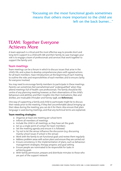<span id="page-16-0"></span>"Focussing on the most functional goals sometimes means that others more important to the child are left on the back burner..."

## TEAM: Together Everyone Achieves More

A team approach is critical and the most effective way to provide short and long-term support to a child with ABI and their family. As case manager, your role is to engage a team of professionals and services that work together to support the family unit.

#### **Team meetings**

Team meetings can be a forum in which to discuss issues that arise in the child's life, and a place to develop comprehensive plans with agreed actions for all team members. Have introductions at the beginning of each meeting to outline the roles and responsibilities of each member, and to ensure clarity for everyone involved.

You may need to encourage family members to participate in these meetings. Parents can sometimes feel overwhelmed and "underqualified" when they attend meetings full of health-care professionals. The family should be the centre of any planning meeting however, as their observations of the child's behaviours and abilities and their insights into their motivations, likes and dislikes, are invaluable (Ylvisaker and Feeney 1998, see **[References](#page-33-0)**).

One way of supporting a family and child to participate might be to discuss their needs prior to the meeting. If they feel uncomfortable about bringing up their ideas during the meeting, you can do it for them. Also ensure that plain language is used during meetings, and that any technical terms are explained.

#### **Team meeting strategies:**

- **>** Organise at least one meeting per school term
- **>** Inform all members of meetings
- **>** Include the child in all meetings, as they have set the goals
- **>** Act as a single point of contact for team members
- **>** Set the meeting agenda and ensure it is followed
- **>** Try not to let the venue influence the discussion (e.g. discussing mainly school issues if school is the venue)
- **>** Work with the family to set functional goals and review them regularly
- **>** Address problem areas with action plans and ensure they are carried out
- **>** Ensure consistency in the implementation of plans, such as behaviourmanagement strategies, therapy progress and goal-setting
- **>** Ensure people are nominated to be responsible for tasks in achieving goals
- **>** With family permission, prepare and distribute minutes to those who are part of the support network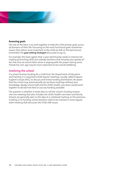<span id="page-17-0"></span>

#### **Assessing goals**

The role of the team is to work together to help the child achieve goals across all domains of their life. Focussing on the most functional goals sometimes means that others more important to the child are left on the back burner (remember the **[goal-setting strategies](#page-11-0)** discussed on pg 12).

For example, the team agrees that 11 year-old Amanda needs to improve her reading and writing skills, but nobody mentions that Amanda also spends all her free time at school either alone or playing with the preps! Having some friends her own age may be more important to her overall wellbeing.

#### **Involving the school**

If a school receives funding for a child from the Department of Education and Training, it is required to hold regular meetings, usually called Program Support Groups (PSG), to discuss and review funding distribution. Be aware that the school may automatically set up these meetings without your knowledge. Ideally, school staff and the child's health-care team would work together to decide how best to use any funding available.

The question is whether it works best to roll the school's funding reviews into one meeting that also includes the child's health-care team and family. Schools are generally open to the idea of a combined meeting on the premises. Funding or no funding, school teachers need to be involved in some regular team meeting that discusses the child's ABI issues.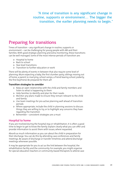<span id="page-18-0"></span>"A time of transition is any significant change in routine, supports or environment… The bigger the transition, the earlier planning needs to begin."

## Preparing for transitions

Times of transition – any significant change in routine, supports or environment – can be challenging for young people with ABI and their families. With good strategic planning and extra monitoring, these transitions can be well managed. Some of the most intense periods of transition are:

- **>** Hospital to home
- **>** Back to school
- **>** Year-level transitions
- **>** Transition to further education or work

There will be plenty of events in between that also require some level of planning: Mum expecting a baby, the first slumber party, siblings moving out of home, a parent re-marrying, school camps, a friend leaving school, puberty, the first boyfriend. Be prepared for them all!

#### **Transition strategies to consider**

- **>** Keep an open relationship with the child and family members and listen to what is happening to them
- **>** Help families to identify and plan for their needs
- **>** Monitor any plans made to ensure they remain relevant to the child and family
- **>** Use team meetings for pro-active planning well ahead of transition periods
- **>** Where appropriate, include the child in planning sessions to discuss things they are willing to try, or to highlight any concerns they have regarding the transition
- **>** Remember consistent strategies are a must

#### **Hospital to home**

If you are involved during the hospital stay or rehabilitation, it is often a good time to begin to get to know the family. Explain clearly what you can offer and provide information to assist them with issues, where requested.

Absorb as much information as you can about the child in preparation for their discharge. You can do this by attending case conferences and family meetings. Be aware of discharge or transfer timelines and attend discharge meetings whenever possible.

It may be appropriate for you to act as the link between the hospital, the rehabilitation facility and the community. For example, you might organise for special-education teachers or community-based therapists to attend case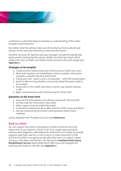<span id="page-19-0"></span>

conferences so that they begin to develop an understanding of the child's strengths and limitations.

No matter what the setting, make sure the family has time to absorb and process all this new and sometimes confusing information.

Excellent resources for families and case managers include the *Step By Step* guide and the *Getting the Best of your Health Care Team* fact sheet, which explain the roles of health-care professionals involved in the early stages (see **[Appendix 1](#page-27-0)**).

#### **Strategies at the hospital**

- **>** Create positive relationships with family and the health-care team
- **>** Work with hospital and rehabilitation teams to gather information and plan a smooth transition back home
- **>** Clarify your role what is and is not possible with the hospital team
- **>** Assist in determining whether community-based therapists need to be involved
- **>** Assess who in the health-care team at home may require training in ABI
- **>** Begin communication with, and training for, school staff

#### **Questions on the home front**

- **>** How are the child, parents and siblings coping with life post-ABI?
- **>** Do they have the information they need?
- **>** What support services might they need?
- **>** Is everyone involved and up-to-date with the child's issues and plans?
- **>** Discuss child and family concerns and questions before team meetings

Source: Adapted from Ylvisaker et al, 2001 (see **[References](#page-33-0)**).

#### **Back to school**

You can support the school to promote a smooth re-entry for the child. Uppermost on your back-to-school "to do" list is organising training for teachers and integration aides *before* the child returns. It is better to provide supports early than wait for a crisis to occur. It is also important to find out how the child is managing socially after their return to school. A great resource is the *Aides' and Teachers' Fact Pack* by the **Southwest Brain Injury Rehabilitation Service**, Albury NSW, which offers tips and strategies for working with students with ABI. (See **[Appendix 1](#page-27-0)**).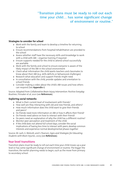## <span id="page-20-0"></span>"Transition plans must be ready to roll out each time your child… has some significant change of environment or routine."

#### **Strategies to consider for school**

- **>** Work with the family and team to develop a timeline for returning to school
- **>** Ensure recommendations from hospital/rehabilitation are provided to the school
- **>** Assess whether staff have the necessary skills and knowledge to work with a child with ABI – organise training if required
- **>** Ensure supports needed for the child to attend school successfully are available
- **>** Work with the family and school to ensure everyone is aware of the likely impact of the ABI in the school environment
- **>** Check what information the child wants teachers and classmates to know about their ABI (e.g. skills deficits or behavioural challenges)
- **>** Research what education and support friends might need
- **>** In consultation with the child, provide updates and orientation to school friends
- **>** Consider making a video about the child's ABI issues and how others can respond (See **[Appendix 1](#page-27-0)**)

Source: Adapted from *Collaborative Brain Injury Intervention: Positive Everyday Routines*, Ylvisaker et al, 2001 (see **[References](#page-33-0)**).

#### **Exploring social networks**

- **>** What is their current level of involvement with friends?
- **>** How well are they interacting with old and new friends, and others?
- **>** How much information does the child want to give their friends and peers?
- **>** Do friends need more information on ABI or how it affects their friend?
- **>** Do friends need advice on how to interact with their friend?
- **>** Do peers need an explanation of why the child has a different routine?
- **>** Monitor peer perception and treatment of the child
- **>** If the child does not attend full school days, consider the social implications of having less time to interact with peers, develop common interests and experience normal developmental phases together

Source: M. Lash, G. Wolcott, and S. Pearson, *Signs and Strategies for Educating Students with Brain Injuries*, 2005 (see **[References](#page-33-0)**).

#### **Year-level transitions**

Transition plans must be ready to roll out each time your child moves up a year level or has some significant change of environment or routine. The bigger the transition, the earlier planning needs to begin, such as the move from primary to secondary school.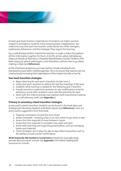<span id="page-21-0"></span>

At each year level, teachers' expectations of students are higher and less support is provided as students move toward greater independence. You need to be sure that each new teacher understands the child's strengths, weaknesses, behaviours and the strategies they require for learning.

You could develop written material for teachers or make a video that gathers all this information together for them. A terrific article called, *Self-Advocacy Videos at Periods of Transition: A Powerful Rehabilitation Tool for Children with Brain Injury,* by speech pathologist, Lucie Shanahan, outlines how to go about making a video (see **[References](#page-33-0)**).

As the school year progresses, you may need to include schoolwork and homework on your team-meeting agendas. This is to ensure that teachers are not unconsciously increasing their expectations of the student too fast, or too far.

#### **Year-level transition strategies**

- **>** Begin planning for each year's transition by late term 3
- **>** Invite next year's teachers to attend the last few meetings of the year
- **>** Establish what training is needed for the following year's teachers
- **>** Provide transition material to teachers on any modifications tried for behaviour, social skills, academic work, and the outcomes for each
- **>** Work with the child to provide new teachers with transitional material or a self-advocacy video (see **[Appendix 1](#page-27-0)**)

#### **Primary to secondary school transition strategies**

A very useful school-transition checklist can be found in the book *Signs and Strategies for Educating Students with Brain Injuries* (see **[References](#page-33-0)**)*.* Here are some useful suggestions from that book:

- **>** Organise orientation around the new school
- **>** Assess timetable knowing what is on next, where to go, what to take
- **>** Assess the time required to move between classes
- **>** Assess the time required to complete class work and tests
- **>** Assist with planning and organising practicalities, such as managing books and materials
- **>** Check strategies are in place for day-to-day school necessities, such as the ability to recall a locker combination

**MCM Statewide ABI Paediatric Coordinators** (telephone: (03) 9385 6333) provide ABI training for schools. See **[Appendix 1](#page-27-0)** for helpful reading and resources for schools.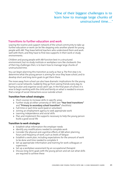"One of their biggest challenges is to learn how to manage large chunks of unstructured time…"

#### <span id="page-22-0"></span>**Transitions to further education and work**

Leaving the routine and support network of the school community to take up further education or work can be like stepping onto another planet for young people with ABI. They leave behind teachers who understand them and work well with them, and they have to find new supports in their work or study environments.

Children and young people with ABI function best in a structured environment, but no study institute or workplace runs like clockwork. One of their big challenges then, is to learn how to manage large chunks of unstructured time.

You can begin planning this transition as early as Year 9. The first step is to determine what the young person is aiming for once they leave school, and to develop short and long-term goals to get them there.

The move away from school can also have dramatic implications for the young person's social networks. Suddenly they go from seeing friends every day, to having to plan and organise social catch-ups. In the final years of school, it is wise to begin working with the child and family on what is needed to ensure that a range of social interactions occur outside school.

#### **Transition from school strategies**

- **>** Short courses to increase skills in specific areas
- **>** Further study at either university or TAFE (see **["Year-level transitions"](#page-20-0)** and **["Primary to secondary school transition"](#page-21-0)** checklists)
- **>** Full-time or part-time work (paid or volunteer)
- **>** Joining an employment agency to seek appropriate work
- **>** Learning independence and social skills
- **>** Plan and implement the supports necessary to help the young person build a good social life

#### **Transition to work strategies**

- **>** Establish what information the employer needs
- **>** Identify any modifications needed to complete work
- **>** Consider the physical and cognitive effects of ABI when planning hours and frequency of work, such as levels of fatigue
- **>** Establish a work plan, including expectations for the amount of work to be done and time needed to complete it
- **>** Set up appropriate information and training for work colleagues or supervisors
- **>** Set up a workplace assessment by an occupational therapist
- **>** Discuss long-term goals with the young person and set out what skills are required to achieve these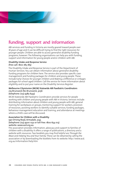<span id="page-23-0"></span>

## Funding, support and information

ABI services and funding in Victoria are mostly geared toward people over 18 years of age and it can be difficult trying to find the right resources for younger people. Children are able to access generalist disability funding programs, however. The following organisations can help you with funding, support and information for young people and/or children with ABI.

#### **Disability Intake and Response Service** (free-call: 1800 783 783)

The Disability Intake and Response Service is part of the Department of Human Services. You can obtain information about generalist disability funding programs for children here. The service also provides specific casemanagement and funding packages for children and young people. These include Early Choices for younger children and Making a Difference or Linkages packages for school-aged children. Call the service for more information about eligibility and to put your name on the Disability Services Register.

#### **Melbourne Citymission (MCM) Statewide ABI Paediatric Coordinators**  219 Brunswick Rd, Brunswick, 3056 (telephone: (03) 9385 6333)

MCM Statewide ABI Paediatric Coordinators provide services for people working with children and young people with ABI in Victoria. Services include: distributing information about children and young people with ABI, general training for workplaces or groups, mentoring support for workers, provision of resources, assisting workers to identify suitable services, funding packages, behaviour-management education and training, and attendance at meetings where a child's case will be discussed.

#### **Association for Children with a Disability**

#### 590 Orrong Road, Armadale, 3143

(telephone: (03) 9500 1232 or toll-free: 1800 654 013)

#### website: [www.acd.org.au](http://www.acd.org.au)

The association provides information, advocacy and support to families of children with a disability. It offers a range of publications, a directory and a website with resources. Two booklets you may find helpful are *Through the Maze* and *Helping You and Your Family*. These can be obtained by calling the association or by downloading the booklets from its website: [http://www.acd.](http://www.acd.org.au/information/help.htm) [org.au/information/help.htm](http://www.acd.org.au/information/help.htm)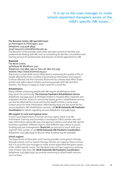"It is up to the case manager to make school-appointed therapists aware of the child's specific ABI issues…"

#### **The Bouverie Centre, ABI specialist team**

50 Flemington St, Flemington, 3031

(telephone: (03) 9376 9844)

email: [bouverie.centre@latrobe.edu.au](mailto:bouverie.centre@latrobe.edu.au)

The Bouverie Centre provides state-wide, specialist services to families and professionals dealing with ABI, such as counselling for families, consultation and training services for professionals and research on family adjustment to ABI.

#### **Brain***Link*

The Nerve Centre,

54 Railway Rd, Blackburn, 3130

(telephone: (03) 9845 2950 or free-call: 1800 677 579)

website: <http://www.brainlink.org.au/>

Brain*Link* is a state-wide service dedicated to improving the quality of life of people affected by brain conditions by providing information and support to those affected and their families. Brain*Link* has a library that offers books, articles and videos about children and young people with ABI and their families. The library is happy to make copies for a small fee.

#### **Rehabilitation**

Many children and young people with ABI require rehabilitation when they rejoin the community. **The Victorian Paediatric Rehabilitation Service** (telephone: (03) 9345 5522) at the Royal Children's Hospital offers inpatient and outpatient services. Access to community-based, generic, rehabilitation services can also be obtained from local community health centres in some areas. Contact yours for more information. Alternatively, there are also some fee-forservice paediatric ABI rehabilitation services. Call **MCM Statewide ABI Paediatric Coordinators** for details regarding services (telephone: (03) 9385 6333).

#### **ABI support in rural and regional areas**

In each rural Department of Human Services region, there is an ABI Information Training and Secondary Consultation (ITASC) worker who will have information about ABI case-management options and what ABI-specific funding is available. Different regions have different age criteria to access funding and case management. **Brain***Link* can put you in touch with your regional ITASC worker, or call **MCM Statewide ABI Paediatric Coordinators** (telephone: (03) 9385 6333) to discuss what funding may be available.

#### **School support**

The Department of Education and Training provides some generic therapy through schools, such as speech therapy. Schools can organise these services, but it is up to the case manager to make school-appointed therapists aware of the child's specific issues. The therapist may not have experience working with children who have ABI. **MCM Statewide ABI Paediatric Coordinators** (telephone: (03) 9385 6333) can provide mentoring to allied health services such as these.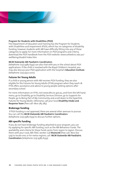

#### **Program for Students with Disabilities (PSDI)**

The Department of Education and Training has the Program for Students with Disabilities and Impairment (PSDI), which has six categories of disability funding, however students with ABI have difficulty fitting into any of these categories to apply. For more information on PSDI programs and criteria, download the PSDI handbook from the PSDI website: [www.sofweb.vic.edu.au/](http://www.sofweb.vic.edu.au/wellbeing/disabil/index.htm) [wellbeing/disabil/index.htm](http://www.sofweb.vic.edu.au/wellbeing/disabil/index.htm)

#### **MCM Statewide ABI Paediatric Coordinators**

(telephone: (03) 9385 6333) can also chat with you or the school about PSDI applications. If the child is involved with the Royal Children's Hospital, you may also discuss your PSDI application with the hospital's **Education Institute** (telephone: (03) 9322 5100).

#### **Futures for Young Adults**

If a child or young person with ABI receives PSDI funding, they are also eligible for the Futures for Young Adults (FFYA) program when they reach 18. FFYA offers assistance and advice to young people seeking options after secondary school.

For more information on FFYA, visit [www.dhs.vic.gov.au](http://www.dhs.vic.gov.au), and from the left-hand menu, go to Disability, go to Disability Services Division, go to Supports for People, go to Being Part of My Community, and scroll down to the hyperlink, Futures for Young Adults. Otherwise, call your local **Disability Intake and Response Team** (free-call: 1800 783 783).

#### **Brokerage funding**

 If PSDI funding is not approved, there are several other avenues to pursue. You can call the **MCM Statewide ABI Paediatric Coordinators** (telephone: (03) 9385 6333) to discuss further options.

#### **ABI-specific funding**

If you do not have brokerage funding attached to your program, you can try applying for specific ABI funding, such as the ABI Behaviour Funds. The availability and criteria for these funds varies from region to region. Discuss them with your rural, ABI ITASC worker. Call **Brain***Link* (free-call: 1800 677 579) to locate one, or for metro regions, call **MCM Statewide ABI Paediatric Coordinators** (telephone: (03) 9385 6333).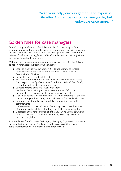<span id="page-26-0"></span>"With your help, encouragement and expertise, life after ABI can be not only manageable, but enjoyable once more…"

## Golden rules for case managers

Your role is large and complex but it is appreciated enormously by those children, young people and families who come under your care. We know, from the feedback we receive, that efficient case management makes the difference between families who struggle with ABI and families who learn to adjust, and even grow, throughout the experience.

With your help, encouragement and professional expertise, life after ABI can be not only manageable, but enjoyable once more.

- **>** Learn as much as you can about ABI do not hesitate to contact information services such as Brain*Link*, or MCM Statewide ABI Paediatric Coordinators
- **>** Be flexible every child is different
- **>** Be aware that difficulties are likely to be greatest at times of change
- **>** Don't expect to "fix" problems work with the child and their family to find the best way to work around them
- **>** Support parents' decisions work with them
- **>** Involve teachers, visiting teachers, parents and rehabilitation personnel in the management team as much as possible
- **>** Work with others to develop individual learning programs for the child, concentrating on their strengths and abilities to further develop them
- **>** Be supportive of families, yet mindful of overloading them with commitments
- **>** Understand that most children with ABI may have to live their lives differently to other children, but they can still lead very happy lives
- **>** Understand that rehabilitation and therapy can be a great strain and drain on children and families experiencing ABI – they need to let loose and laugh too!

Source: Adapted from "Acquired Brain Injury Managing Cognitive Impairments – an Introduction for Teachers", Ballarat Health Services ABI Clinic, with additional information from mothers of children with ABI.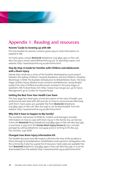<span id="page-27-0"></span>

## Appendix 1: Reading and resources

#### **Parents' Guide to Growing up with ABI**

This free booklet for parents contains great, easy-to-read information on paediatric ABI.

For hard copies, contact **Brain***Link* (telephone: (03) 9845 2950 or free-call: 1800 677 579 or email: [admin@brainlink.org.au](mailto:admin@brainlink.org.au)). To download copies, visit website:<http://www.brainlink.org.au/abi/home.html>

#### **Step By Step: A Guide for Families with Children and Adolescents with a Brain Injury**

*Step by Step* comprises a series of five booklets developed by a joint project between the Sydney Children's Hospital, Randwick, and the Children's Hospital, Westmead, in NSW. The booklets (*Introduction to Rehabilitation Team*; *The Early Stages of Brain Injury*; *Medical Issues*; *Emotion and Behaviour*; *Young People*) explain the roles of different professionals involved in the early stages of paediatric ABI. To download, visit: [http://www.maa.nsw.gov.au/,](http://www.maa.nsw.gov.au/) go to Injury Management, go to Guides for Injured People.

#### **Getting the Best from Your Health Care Team**

This four-page fact sheet gives a brief description of the roles of health-care professionals who deal with ABI and tips on how to communicate effectively with them. Hard copies are available free from **Brain***Link* (telephone: (03) 9845 2950 or free-call: 1800 677 579) or can be downloaded from the website: [http://www.brainlink.org.au/abi/home.html](www.acd.org.au/siblings)

#### **Why Did it Have to Happen to My Family?**

This excellent, interactive CD-ROM for children and teenagers provides information on how to cope with brain injury in the family. You can borrow it from the **Brain***Link* library (telephone: (03) 9845 2950 or free-call: 1800 677 579), or purchase a copy from the **Hunter Brain Injury Service (**\$27.50, includes postage) by calling (telephone: (02) 4929 3100) or writing to P.O. Box 337, The Junction, 2291, NSW.

#### **Changed Lives Brain Injury Information Kit**

This booklet discusses how ABI impacts a life from the time of the accident or illness through to hospitalisation, rehabilitation and a person's reintegration into the community. It also has a great list of resources. Hard copies are available free from **Brain***Link* (telephone: (03) 9845 2950 or free-call: 1800 677 579), or it can be downloaded from the website: <http://www.brainlink.org.au/abi/home.html>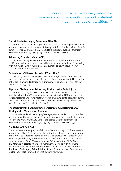## "You can make self-advocacy videos for teachers about the specific needs of a student during periods of transition…"

#### **Your Guide to Managing Behaviour After ABI**

This booklet discusses in detail possible behaviour changes in people with ABI and some management strategies. It is very useful for families, schools, healthcare professionals and people with ABI. Hard copies are available free from **Brain***Link* (telephone: (03) 9845 2950 or free-call: 1800 677 579).

#### **"Educating Educators about ABI"**

This document is highly recommended for schools. It includes information on ABI from a developmental perspective and general techniques for working with individuals with ABI. It is a large document to download, however: <http://www.abieducation.com/>

#### **"Self-advocacy Videos at Periods of Transition"**

This article by speech pathologist, Lucie Shanahan, discusses how to make a video for teachers about the specific needs of a student with ABI. Hard copies of the article are available free from **Brain***Link* (telephone: (03) 9845 2950 or free-call: 1800 677 579).

#### **Signs and Strategies for Educating Students with Brain Injuries**

This book by M. Lash, G. Wolcott, and S. Pearson, published by Lash and Associates Publishing/Training Inc, 2005, North Carolina, USA, provides easyto-use strategies and worksheets for working with students, especially during their times of transition. To borrow it, call the **Brain***Link* library (telephone: (03) 9845 2950 or free-call: 1800 677 579).

#### **The Student with a Brain Injury: Reintegration, Assessment and Strategies for Mainstream Teachers**

This manual was developed in 1993 by Bogan, Hartely and Ryan and includes an easy-to-read table on page 37: "Understanding and Meeting the Classroom Need of the Brain-Injured Student". Hard copies are available from the **Brain***Link* library (telephone: (03) 9845 2950 or free-call: 1800 677 579)**.**

#### **Paediatric ABI Fact Packs**

The Southwest Brain Injury Rehabilitation Service, Albury, NSW, has developed a terrific set of Fact Packs on paediatric ABI suitable for everyone from parents and siblings to school teachers and integration aides. Booklet titles include: *Behaviour*; *Graphic Organiser*; *Helping Your Child Study*; *Parents' Pack*; *Senior Students*; *Siblings*; *Study Skills for Students*; *Talking with Your Child*; *Aides and Teachers*. It costs \$20 per booklet, including postage, with discounts for purchases of five or more booklets. Hard copies are available from the **Southwest Brain Injury Rehabilitation Service** (telephone: (02) 6041 9902 or fax (02) 6041 9928) or email: [swbirs@swsahs.nsw.gov.au](mailto:swbirs@swsahs.nsw.gov.au)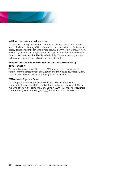

#### **A Hit on the Head and Where it Led**

This picture book explains what happens to a little boy after hitting his head and is ideal for explaining ABI to children. You can borrow it from the **Brain***Link* library (telephone: (03) 9845 2950 or free-call: 1800 677 579) or purchase it from [www.early-reading.com](http://www.early-reading.com) (\$15, including postage and handling) or download it from the **Motor Accident Authority** website: <http://www.maa.nsw.gov.au/>go to Injury Management, go to Guides for Injured People.

#### **Program for Students with Disabilities and Impairment (PSDI) 2006 Handbook**

This handbook has information on the PSDI program and how to apply for funding from the Department of Education and Training. To download it, visit: <http://www.sofweb.vic.edu.au/wellbeing/disabil/index.htm>

#### **YMCA Heads Together Camp**

This camp is for families who have a child with ABI and offers a great opportunity for parents, siblings, and children and young people with ABI to mix with others in the same situation. Contact **MCM Statewide ABI Paediatric Coordinators** (telephone: (03) 9385 6333) to find out about the next camp.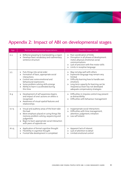## <span id="page-30-0"></span>Appendix 2: Impact of ABI on developmental stages

| Age       | Normal developmental expectations                                                                                                                                                                                                                                                                                                           | Possible impact of ABI                                                                                                                                                                                                                                                        |
|-----------|---------------------------------------------------------------------------------------------------------------------------------------------------------------------------------------------------------------------------------------------------------------------------------------------------------------------------------------------|-------------------------------------------------------------------------------------------------------------------------------------------------------------------------------------------------------------------------------------------------------------------------------|
| $O-2$     | Reflexive grasping to manipulating a crayon<br>≻<br>Develops basic vocabulary and rudimentary<br>$\blacktriangleright$<br>sentence structure                                                                                                                                                                                                | > Poor coordination of limbs<br>Disruption in all phases of development:<br>$\blacktriangleright$<br>motor, physical, emotional, social,<br>communications<br>Lack of precision with fine motor skills<br>$\blacktriangleright$<br>Limits in receptive language<br>≻          |
| $3 - 5$   | Puts things into serial order<br>$\rightarrow$<br>Formation of basic, appropriate social<br>$\rightarrow$<br>interactions<br>Control over some emotional and<br>$\blacktriangleright$<br>behavioural expressions<br>Some problem-solving skills emerge<br>▸<br>Ability to learn is accelerated during<br>$\blacktriangleright$<br>this time | May not play well with others<br>≻<br>Expressive language may remain very<br>≻<br>limited<br>Difficulty learning how to handle own<br>≻<br>emotions<br>Long-term capacity for learning can be<br>≻<br>impaired as brain has not developed<br>adequate compensatory strategies |
| $6 - 9$   | Development of self awareness begins<br>▸<br>and impact of one's actions on others is<br>recognised<br>Awareness of visual-spatial features and<br>$\rightarrow$<br>relationships                                                                                                                                                           | Difficulties in impulse control may present<br>≻<br>as distractibility<br>Difficulties with behaviour management<br>$\blacktriangleright$                                                                                                                                     |
| $10 - 15$ | Visual and auditory areas of the brain take<br>$\blacktriangleright$<br>the lead<br>More emphasis placed on using things like<br>$\rightarrow$<br>memory, problem-solving, sequencing and<br>judgement<br>Begin to learn appropriate social interaction<br>≻<br>with peers of opposite sex                                                  | Inappropriate social interactions<br>≻<br>Difficulties with time management,<br>≻<br>attention, judgement, initiation<br>Low self esteem<br>$\blacktriangleright$                                                                                                             |
| $16 - 25$ | Application of formal cognitive thought<br>≻<br>Flexibility in cognitive thought<br>▸<br>Frontal lobe development is completed<br>ゝ                                                                                                                                                                                                         | Apparent lack of interest<br>$\blacktriangleright$<br>Lack of attention to detail<br>$\blacktriangleright$<br>Limited emotional control<br>ゝ                                                                                                                                  |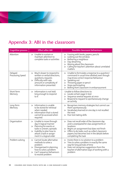<span id="page-31-0"></span>

## Appendix 3: ABI in the classroom

| <b>Cognitive process</b>    | <b>Effect after ABI</b>                                                                                                                                                                                                      | Possible classroom behaviours                                                                                                                                                                                                                                                                  |
|-----------------------------|------------------------------------------------------------------------------------------------------------------------------------------------------------------------------------------------------------------------------|------------------------------------------------------------------------------------------------------------------------------------------------------------------------------------------------------------------------------------------------------------------------------------------------|
| Attention                   | Unable to sustain or<br>$\blacktriangleright$<br>maintain attention to<br>complete tasks or activities                                                                                                                       | Fussing with books, papers, pencils<br>≻<br>Looking out the window<br>ゝ<br>Bothering a neighbour<br>ゝ<br>Day-dreaming<br>ゝ<br>Moving about the classroom<br>≻<br>Calling for teacher's attention about unrelated<br>≻<br>matters                                                               |
| Delayed<br>Processing Speed | Much slower to respond to<br>$\blacktriangleright$<br>written or verbal directions,<br>questions, requests<br>Difficulty with rate,<br>$\blacktriangleright$<br>amount or complexity of<br>information presented             | Unable to formulate a response to a question/<br>$\blacktriangleright$<br>command in usual time allotted, even though<br>may know correct response/behaviour<br>Speaking out<br>ゝ<br>Throwing paper or pencil<br>ゝ<br>Stops participating<br>ゝ<br>Bolting from classroom in embarrassment<br>≻ |
| Short-Term<br>Memory        | Information is not held<br>$\mathbf{v}$<br>long enough to respond<br>to it                                                                                                                                                   | Unable to follow directions to:<br>Locate certain page in text<br>ゝ<br>Sequence several requests at once<br>≻<br>Respond to request to spontaneously change<br>≻<br>an activity                                                                                                                |
| Long-Term<br>Memory         | Information is unable<br>$\blacktriangleright$<br>to be stored for retrieval<br>when needed<br>Information that is stored<br>$\blacktriangleright$<br>cannot be accessed when<br>required                                    | Recognises memory strategies but cannot use<br>≻<br>them spontaneously<br>Vocabulary learned on one day is not recalled<br>$\blacktriangleright$<br>the next<br>Poor test-taking skills<br>≻                                                                                                   |
| Organisation                | Unable to move through<br>≻<br>day in logical manner<br>Planning for events or<br>$\blacktriangleright$<br>tasks is uneven, sporadic<br>Inability to plan how to<br>≻<br>attack a task or assign-<br>ment in a logical order | Does not recall order of the classroom day<br>≻<br>and is unprepared for class assignments or<br>locations<br>Begins an assignment but does not finish<br>≻<br>Offers to do tasks, such as collect classroom<br>≻<br>papers, but becomes lost in the details before<br>completing the task     |
| Problem-solving             | Cannot locate alternative<br>methods to solve a<br>problem<br>Disorganised in planning<br>$\blacktriangleright$<br>how to solve a problem<br>Can't sequence behaviours<br>$\blacktriangleright$<br>to resolve problem        | Insists there is no solution to a problem<br>ゝ<br>Tries to solve a problem in exactly the same<br>≻<br>way for long periods of time<br>Does not recognise suggestions from the<br>$\blacktriangleright$<br>teacher of alternative ways of working with a<br>problem                            |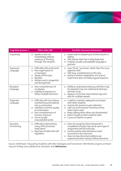

| <b>Cognitive process</b> | <b>Effect after ABI</b>                                                                                                                                                                                                                                           | Possible classroom behaviours                                                                                                                                                                                                                                                                                                                                              |
|--------------------------|-------------------------------------------------------------------------------------------------------------------------------------------------------------------------------------------------------------------------------------------------------------------|----------------------------------------------------------------------------------------------------------------------------------------------------------------------------------------------------------------------------------------------------------------------------------------------------------------------------------------------------------------------------|
| Impulsivity              | Speaks or acts out<br>$\blacktriangleright$<br>immediately without<br>evidence of "thinking<br>through" the situation                                                                                                                                             | Leaves seat to sharpen pencil when teacher is<br>$\rightarrow$<br>talking<br>Tells teacher their hair is dirty/looks bad<br>$\rightarrow$<br>Employs socially unacceptable language or<br>≻<br>gestures                                                                                                                                                                    |
| Expressive<br>Language   | Difficultly with word recall<br>≻<br>Poor organisation of<br>≻<br>conversation<br>Speaks off the topic<br>$\blacktriangleright$<br>Rambles<br>▸<br>Written work is tangential<br>$\blacktriangleright$<br>and disorganised                                        | Uses "thing", "you know" rather than the noun,<br>≻<br>adjective, verb<br>Tells long, unrelated story to the class<br>$\blacktriangleright$<br>Verbal or written explanation of a science<br>$\blacktriangleright$<br>experiment does not follow logical sequence                                                                                                          |
| Receptive<br>Language    | Poor comprehension of<br>≻<br>vocabulary<br>Inability to sequence or<br>$\mathbf{r}$<br>follow multiple directions                                                                                                                                                | Ability to understand what you tell them may<br>$\blacktriangleright$<br>be impaired, may not understand what you<br>tell them to do<br>Appears not to hear what teacher says and<br>$\rightarrow$<br>asks for multiple repeats                                                                                                                                            |
| Pragmatic<br>Language    | Difficulty with turn-taking,<br>≻<br>maintaining and breaking<br>into a conversation<br>Inability to monitor quality<br>$\sum$<br>of conversation<br>> Poor comprehension of<br>humour and puns<br>Use of socially<br>$\blacktriangleright$<br>unacceptable words | Unable to maintain adequate social space<br>$\rightarrow$<br>with other students<br>Touches the teacher to gain attention<br>≻<br>Calls out to the teacher numerous times<br>≻<br>when told to wait<br>Keeps talking when others are disinterested<br>$\rightarrow$<br>Doesn't laugh at other students' jokes<br>$\blacktriangleright$<br>Curses at teachers or peers<br>≻ |
| Executive<br>Functioning | Difficulty implementing<br>≻<br>many of the processes<br>listed above<br>May have trouble with self-<br>≻<br>regulation                                                                                                                                           | Does not recognise when homework is<br>$\blacktriangleright$<br>completed correctly, may not do same type of<br>assignment well the next day<br>> Cannot outline what behaviours were<br>successful in the classroom<br>Does not describe what problems are<br>▸<br>experienced when trying to follow directions                                                           |

Source: DePompei, "Educating Students with ABI: Strategies and Transitions" 6th World Congress on Brain Injury, 6-8 May 2005, Melbourne, Australia (see **[References](#page-33-0)**).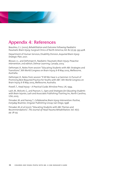<span id="page-33-0"></span>

## Appendix 4: References

Beaulieu, C.L. (2002), *Rehabilitation and Outcome Following Paediatric Traumatic Brain Injury,* Surgical Clinics of North America, Vol. 82 (2) pp. 393-408.

Department of Human Services, Disability Division, *Acquired Brain Injury Strategic Plan*, 2001.

Blosser, J.L., and DePompei R., *Paediatric Traumatic Brain Injury: Proactive Intervention*, 2nd edition, Delmar Learning, Canada, 2003.

DePompei, R., Notes from session "Educating Students with ABI: Strategies and Transitions", 6th World Congress on Brain Injury, 6-8 May 2005, Melbourne, Australia.

DePompei, R., Notes from session "If All We Have is a Hammer: In Pursuit of Promising Best Required Practice for Youths with ABI", 6th World Congress on Brain Injury, 6-8 May 2005, Melbourne, Australia.

Powell, T., *Head Injury – A Practical Guide,* Winslow Press, UK, 1994.

Lash, M., Wolcott, G., and Pearson, S., *Signs and Strategies for Educating Students with Brain Injuries*, Lash and Associates Publishing/Training Inc, North Carolina, USA, 2005.

Ylvisaker, M. and Feeney, T., *Collaborative Brain Injury Intervention: Positive, Everyday Routines*, Singular Publishing Group, San Diego, 1998.

Ylvisaker, M. et al (2001), "Educating Students with ABI: Themes and Recommendations", *The Journal of Head Trauma Rehabilitation,* Vol. 16(1): pp. 76-93.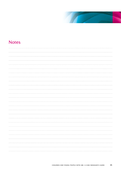

## **Notes**